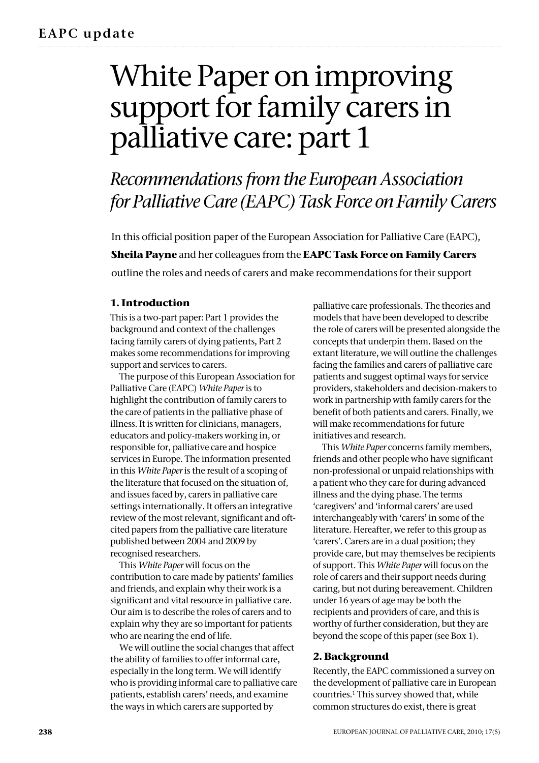# White Paper on improving support for family carers in palliative care: part 1

*Recommendations from the EuropeanAssociation for Palliative Care (EAPC)Task Force on Family Carers*

In this official position paper of the European Association for Palliative Care (EAPC), **Sheila Payne** and her colleagues from the **EAPC Task Force on Family Carers** outline the roles and needs of carers and make recommendations fortheir support

## **1. Introduction**

This is a two-part paper: Part 1 provides the background and context of the challenges facing family carers of dying patients, Part 2 makes some recommendations forimproving support and services to carers.

The purpose of this European Association for Palliative Care (EAPC) *White Paper* is to highlight the contribution of family carers to the care of patients in the palliative phase of illness. It is written for clinicians, managers, educators and policy-makers working in, or responsible for, palliative care and hospice services in Europe. The information presented in this *White Paper* is the result of a scoping of the literature that focused on the situation of, and issues faced by, carers in palliative care settings internationally. It offers an integrative review of the most relevant, significant and oftcited papers from the palliative care literature published between 2004 and 2009 by recognised researchers.

This *White Paper* will focus on the contribution to care made by patients' families and friends, and explain why their work is a significant and vital resource in palliative care. Our aim is to describe the roles of carers and to explain why they are so important for patients who are nearing the end of life.

We will outline the social changes that affect the ability of families to offerinformal care, especially in the long term. We will identify who is providing informal care to palliative care patients, establish carers' needs, and examine the ways in which carers are supported by

palliative care professionals. The theories and models that have been developed to describe the role of carers will be presented alongside the concepts that underpin them. Based on the extant literature, we will outline the challenges facing the families and carers of palliative care patients and suggest optimal ways for service providers, stakeholders and decision-makers to work in partnership with family carers for the benefit of both patients and carers. Finally, we will make recommendations for future initiatives and research.

This *White Paper* concerns family members, friends and other people who have significant non-professional or unpaid relationships with a patient who they care for during advanced illness and the dying phase. The terms 'caregivers' and 'informal carers' are used interchangeably with 'carers' in some of the literature. Hereafter, we refer to this group as 'carers'. Carers are in a dual position; they provide care, but may themselves be recipients of support. This *White Paper* will focus on the role of carers and their support needs during caring, but not during bereavement. Children under 16 years of age may be both the recipients and providers of care, and this is worthy of further consideration, but they are beyond the scope of this paper(see Box 1).

## **2. Background**

Recently, the EAPC commissioned a survey on the development of palliative care in European countries. <sup>1</sup> This survey showed that, while common structures do exist, there is great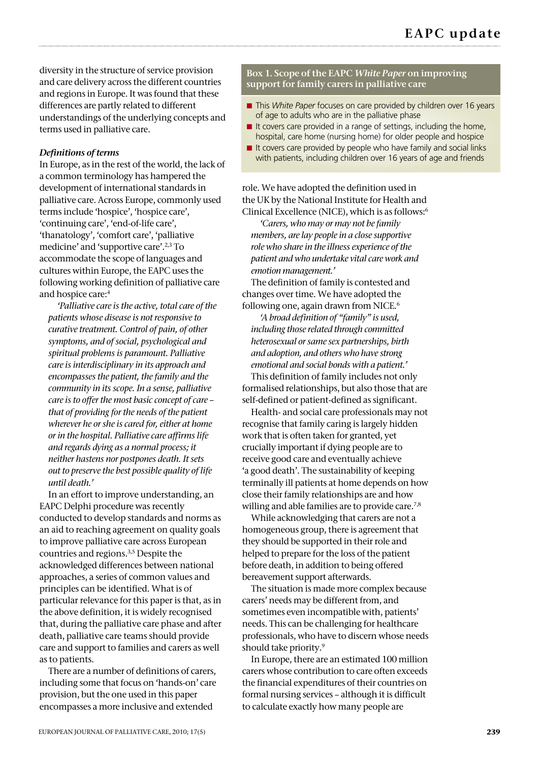diversity in the structure of service provision and care delivery across the different countries and regions in Europe. It was found that these differences are partly related to different understandings of the underlying concepts and terms used in palliative care.

#### *Definitions ofterms*

In Europe, as in the rest of the world, the lack of a common terminology has hampered the development of international standards in palliative care. Across Europe, commonly used terms include 'hospice', 'hospice care', 'continuing care', 'end-of-life care', 'thanatology', 'comfort care', 'palliative medicine' and 'supportive care'. 2,3 To accommodate the scope of languages and cultures within Europe, the EAPC uses the following working definition of palliative care and hospice care: 4

*'Palliative care is the active, total care of the patients whose disease is not responsive to curative treatment. Control of pain, of other symptoms, and of social, psychological and spiritual problems is paramount. Palliative care is interdisciplinary in its approach and encompasses the patient, the family and the community in its scope. In a sense, palliative care is to offer the most basic concept of care – that of providing for the needs of the patient wherever he or she is cared for, either at home or in the hospital. Palliative care affirms life and regards dying as a normal process; it neither hastens nor postpones death. It sets out to preserve the best possible quality of life until death.'*

In an effort to improve understanding, an EAPC Delphi procedure was recently conducted to develop standards and norms as an aid to reaching agreement on quality goals to improve palliative care across European countries and regions. 3,5 Despite the acknowledged differences between national approaches, a series of common values and principles can be identified. What is of particular relevance for this paper is that, as in the above definition, it is widely recognised that, during the palliative care phase and after death, palliative care teams should provide care and support to families and carers as well as to patients.

There are a number of definitions of carers, including some that focus on 'hands-on' care provision, but the one used in this paper encompasses a more inclusive and extended

## Box 1. Scope of the EAPC *White Paper* on improving support for family carers in palliative care

- This *White Paper* focuses on care provided by children over 16 years of age to adults who are in the palliative phase
- It covers care provided in a range of settings, including the home, hospital, care home (nursing home) for older people and hospice
- It covers care provided by people who have family and social links with patients, including children over 16 years of age and friends

role. We have adopted the definition used in the UK by the National Institute for Health and Clinical Excellence (NICE), which is as follows: 6

*'Carers, who may or may not be family members, are lay people in a close supportive role who share in the illness experience of the patient and who undertake vital care work and emotion management.'*

The definition of family is contested and changes over time. We have adopted the following one, again drawn from NICE. 6

*'A broad definition of "family" is used, including those related through committed heterosexual or same sex partnerships, birth and adoption, and others who have strong emotional and social bonds with a patient.'* This definition of family includes not only formalised relationships, but also those that are self-defined or patient-defined as significant.

Health- and social care professionals may not recognise that family caring is largely hidden work that is often taken for granted, yet crucially important if dying people are to receive good care and eventually achieve 'a good death'. The sustainability of keeping terminally ill patients at home depends on how close their family relationships are and how willing and able families are to provide care.<sup>7,8</sup>

While acknowledging that carers are not a homogeneous group, there is agreement that they should be supported in their role and helped to prepare for the loss of the patient before death, in addition to being offered bereavement support afterwards.

The situation is made more complex because carers' needs may be different from, and sometimes even incompatible with, patients' needs. This can be challenging for healthcare professionals, who have to discern whose needs should take priority. 9

In Europe, there are an estimated 100 million carers whose contribution to care often exceeds the financial expenditures of their countries on formal nursing services – although it is difficult to calculate exactly how many people are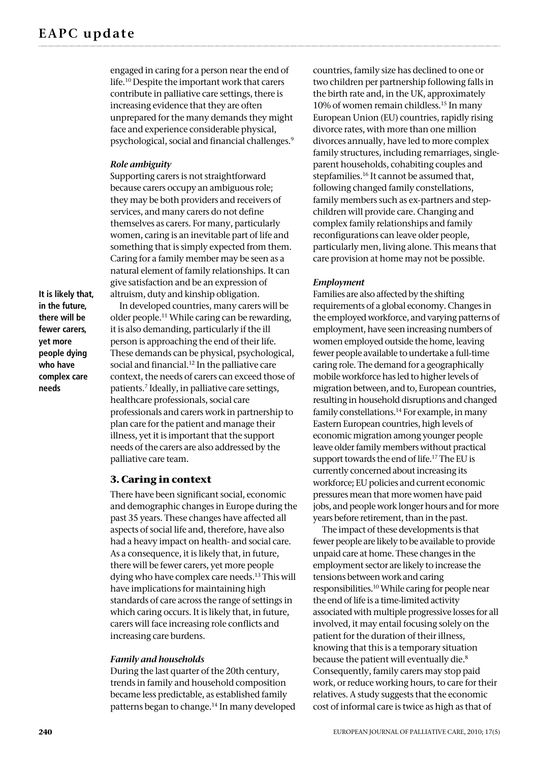engaged in caring for a person nearthe end of life. <sup>10</sup> Despite the important work that carers contribute in palliative care settings, there is increasing evidence that they are often unprepared forthe many demands they might face and experience considerable physical, psychological, social and financial challenges. 9

#### *Role ambiguity*

Supporting carers is not straightforward because carers occupy an ambiguous role; they may be both providers and receivers of services, and many carers do not define themselves as carers. For many, particularly women, caring is an inevitable part of life and something that is simply expected from them. Caring for a family member may be seen as a natural element of family relationships. It can give satisfaction and be an expression of altruism, duty and kinship obligation.

**It is likely that, in the future, there will be fewer carers, yet more people dying who have complex care needs**

In developed countries, many carers will be older people. <sup>11</sup> While caring can be rewarding, it is also demanding, particularly if the ill person is approaching the end of their life. These demands can be physical, psychological, social and financial. <sup>12</sup> In the palliative care context, the needs of carers can exceed those of patients. <sup>7</sup> Ideally, in palliative care settings, healthcare professionals, social care professionals and carers work in partnership to plan care for the patient and manage their illness, yet it is important that the support needs of the carers are also addressed by the palliative care team.

#### **3. Caring in context**

There have been significant social, economic and demographic changes in Europe during the past 35 years. These changes have affected all aspects of social life and, therefore, have also had a heavy impact on health- and social care. As a consequence, it is likely that, in future, there will be fewer carers, yet more people dying who have complex care needs. <sup>13</sup> This will have implications for maintaining high standards of care across the range of settings in which caring occurs. It is likely that, in future, carers will face increasing role conflicts and increasing care burdens.

#### *Family and households*

During the last quarter of the 20th century, trends in family and household composition became less predictable, as established family patterns began to change. <sup>14</sup> In many developed countries, family size has declined to one or two children per partnership following falls in the birth rate and, in the UK, approximately 10% of women remain childless. <sup>15</sup> In many European Union (EU) countries, rapidly rising divorce rates, with more than one million divorces annually, have led to more complex family structures, including remarriages, singleparent households, cohabiting couples and stepfamilies. <sup>16</sup> It cannot be assumed that, following changed family constellations, family members such as ex-partners and stepchildren will provide care. Changing and complex family relationships and family reconfigurations can leave older people, particularly men, living alone. This means that care provision at home may not be possible.

#### *Employment*

Families are also affected by the shifting requirements of a global economy. Changes in the employed workforce, and varying patterns of employment, have seen increasing numbers of women employed outside the home, leaving fewer people available to undertake a full-time caring role. The demand for a geographically mobile workforce has led to higher levels of migration between, and to, European countries, resulting in household disruptions and changed family constellations. <sup>14</sup> For example, in many Eastern European countries, high levels of economic migrationamong younger people leave older family members without practical support towards the end of life.<sup>17</sup> The EU is currently concerned about increasing its workforce; EU policies and current economic pressures mean that more women have paid jobs, and people work longer hours and for more years before retirement, than in the past.

The impact of these developments is that fewer people are likely to be available to provide unpaid care at home. These changes in the employment sector are likely to increase the tensions between work and caring responsibilities.<sup>10</sup> While caring for people near the end of life is a time-limited activity associated with multiple progressive losses for all involved, it may entail focusing solely on the patient for the duration of their illness, knowing that this is a temporary situation because the patient will eventually die.<sup>8</sup> Consequently, family carers may stop paid work, or reduce working hours, to care for their relatives. A study suggests that the economic cost of informal care is twice as high as that of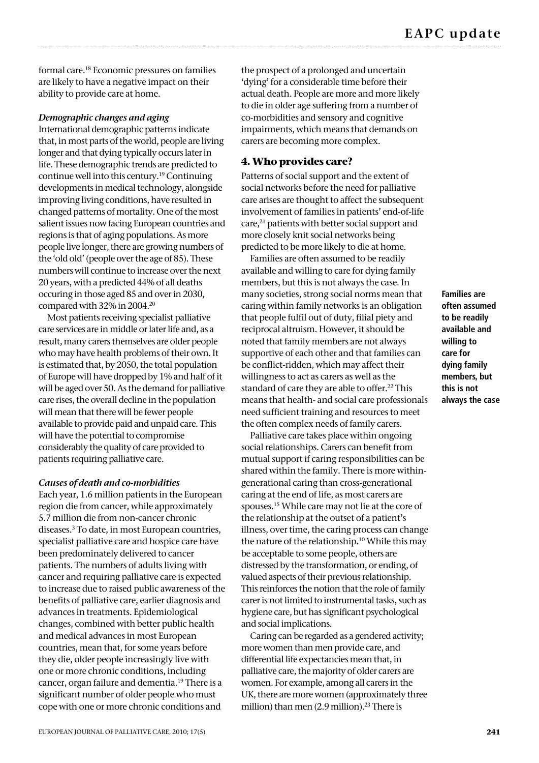formal care. <sup>18</sup> Economic pressures on families are likely to have a negative impact on their ability to provide care at home.

## *Demographic changes and aging*

International demographic patterns indicate that, in most parts of the world, people are living longer and that dying typically occurs laterin life. These demographic trends are predicted to continue well into this century. <sup>19</sup> Continuing developments in medical technology, alongside improving living conditions, have resulted in changed patterns of mortality. One of the most salient issues now facing European countries and regions is that of aging populations.As more people live longer, there are growing numbers of the 'old old' (people over the age of 85). These numbers will continue to increase over the next 20 years, witha predicted 44% of all deaths occuring in those aged 85 and over in 2030, compared with  $32\%$  in  $2004.^{20}$ 

Most patients receiving specialist palliative care services are in middle or later life and, as a result, many carers themselves are older people who may have health problems of their own. It is estimated that, by 2050, the total population of Europe will have dropped by 1% and half of it will be aged over 50.As the demand for palliative care rises, the overall decline in the population will mean that there will be fewer people available to provide paid and unpaid care. This will have the potential to compromise considerably the quality of care provided to patients requiring palliative care.

## *Causes of death and co-morbidities*

Each year, 1.6 million patients in the European region die from cancer, while approximately 5.7 million die from non-cancer chronic diseases. <sup>3</sup> To date, in most European countries, specialist palliative care and hospice care have been predominately delivered to cancer patients. The numbers of adults living with cancer and requiring palliative care is expected to increase due to raised public awareness of the benefits of palliative care, earlier diagnosis and advances in treatments. Epidemiological changes, combined with better public health and medical advances in most European countries, mean that, for some years before they die, older people increasingly live with one or more chronic conditions, including cancer, organ failure and dementia. <sup>19</sup> There is a significant number of older people who must cope with one or more chronic conditions and

the prospect of a prolonged and uncertain 'dying' for a considerable time before their actual death. People are more and more likely to die in older age suffering from a number of co-morbidities and sensory and cognitive impairments, which means that demands on carers are becoming more complex.

#### **4.Who provides care?**

Patterns of social support and the extent of social networks before the need for palliative care arises are thought to affect the subsequent involvement of families in patients' end-of-life care, <sup>21</sup> patients with better social support and more closely knit social networks being predicted to be more likely to die at home.

Families are often assumed to be readily available and willing to care for dying family members, but this is not always the case. In many societies, strong social norms mean that caring within family networks is an obligation that people fulfil out of duty, filial piety and reciprocal altruism. However, it should be noted that family members are not always supportive of each other and that families can be conflict-ridden, which may affect their willingness to act as carers as well as the standard of care they are able to offer. <sup>22</sup> This means that health- and social care professionals need sufficient training and resources to meet the often complex needs of family carers.

Palliative care takes place within ongoing social relationships. Carers can benefit from mutual support if caring responsibilities can be shared within the family. There is more withingenerational caring than cross-generational caring at the end of life, as most carers are spouses. <sup>15</sup> While care may not lie at the core of the relationship at the outset of a patient's illness, over time, the caring process can change the nature of the relationship. <sup>10</sup> While this may be acceptable to some people, others are distressed by the transformation, or ending, of valued aspects of their previous relationship. This reinforces the notion that the role of family carer is not limited to instrumental tasks, such as hygiene care, but has significant psychological and social implications.

Caring canbe regarded as a gendered activity; more women than men provide care, and differential life expectancies meanthat, in palliative care, the majority of older carers are women. For example, among all carers in the UK, there are more women (approximately three million) than men  $(2.9 \text{ million})$ .<sup>23</sup> There is

**Families are often assumed to be readily available and willing to care for dying family members, but this is not always the case**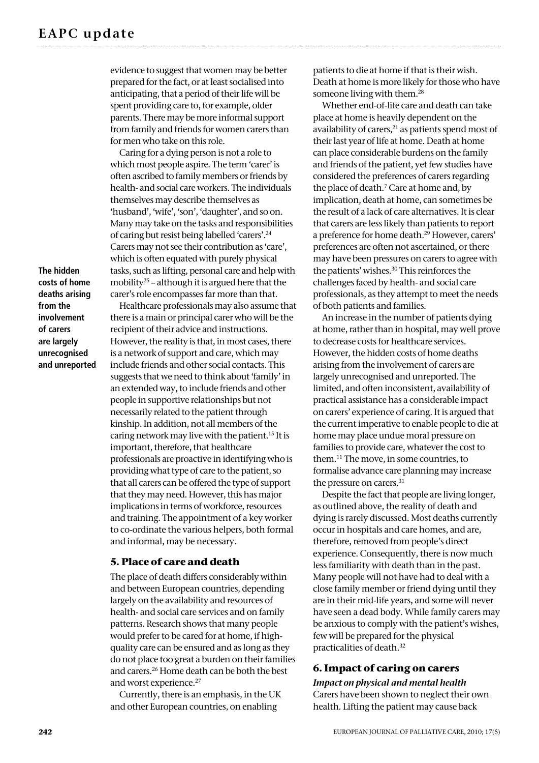evidence to suggest that women may be better prepared for the fact, or at least socialised into anticipating, that a period of their life will be spent providing care to, for example, older parents. There may be more informal support from family and friends for women carers than for men who take on this role.

Caring for a dying person is not a role to which most people aspire. The term 'carer' is often ascribed to family members or friends by health- and social care workers. The individuals themselves may describe themselves as 'husband', 'wife', 'son', 'daughter', and so on. Many may take on the tasks and responsibilities of caring but resist being labelled 'carers'.<sup>24</sup> Carers may not see their contribution as 'care', which is often equated with purely physical tasks, such as lifting, personal care and help with mobility<sup>25</sup> – although it is argued here that the carer's role encompasses far more than that.

**The hidden costs of home deaths arising from the involvement of carers are largely unrecognised and unreported**

Healthcare professionals may also assume that there is a mainor principal carer who will be the recipient of their advice and instructions. However, the reality is that, in most cases, there is anetwork of support and care, which may include friends and other social contacts. This suggests that weneed to think about'family' in an extended way, to include friends and other people in supportive relationships but not necessarily related to the patient through kinship. In addition, not all members of the caring network may live with the patient.<sup>15</sup> It is important, therefore, that healthcare professionals are proactive inidentifying who is providing what type of care to the patient, so that all carers canbe offered the type of support that they may need. However, this has major implications in terms of workforce, resources and training. The appointment of a key worker to co-ordinate the various helpers, both formal and informal, may be necessary.

## **5. Place of care and death**

The place of death differs considerably within and between European countries, depending largely on the availability and resources of health- and social care services and on family patterns. Research shows that many people would prefer to be cared for at home, if highquality care can be ensured and as long as they do not place too great a burden on their families and carers. <sup>26</sup> Home death can be both the best and worst experience. 27

Currently, there is an emphasis, in the UK and other European countries, on enabling

patients to die at home if that is their wish. Death at home is more likely for those who have someone living with them. 28

Whether end-of-life care and death can take place at home is heavily dependent on the availability of carers, <sup>21</sup> as patients spend most of their last year of life at home. Death at home can place considerable burdens on the family and friends of the patient, yet few studies have considered the preferences of carers regarding the place of death. <sup>7</sup> Care at home and, by implication, death at home, can sometimes be the result of a lack of care alternatives. It is clear that carers are less likely than patients to report a preference for home death. <sup>29</sup> However, carers' preferences are often not ascertained, or there may have been pressures on carers to agree with the patients' wishes. <sup>30</sup> This reinforces the challenges faced by health- and social care professionals, as they attempt to meet the needs of both patients and families.

An increase in the number of patients dying at home, rather than in hospital, may well prove to decrease costs for healthcare services. However, the hidden costs of home deaths arising from the involvement of carers are largely unrecognised and unreported. The limited, and often inconsistent, availability of practical assistance has a considerable impact on carers' experience of caring. It is argued that the currentimperative to enable people to die at home may place undue moral pressure on families to provide care, whatever the cost to them.<sup>11</sup> The move, in some countries, to formalise advance care planning may increase the pressure on carers. 31

Despite the fact that people are living longer, as outlined above, the reality of death and dying is rarely discussed. Most deaths currently occurin hospitals and care homes, and are, therefore, removed from people's direct experience. Consequently, there is now much less familiarity with death than in the past. Many people will not have had to deal with a close family member or friend dying until they are in their mid-life years, and some will never have seen a dead body. While family carers may be anxious to comply with the patient's wishes, few will be prepared for the physical practicalities of death. 32

## **6. Impact of caring on carers**

*Impact on physical and mental health* Carers have been shown to neglect their own health. Lifting the patient may cause back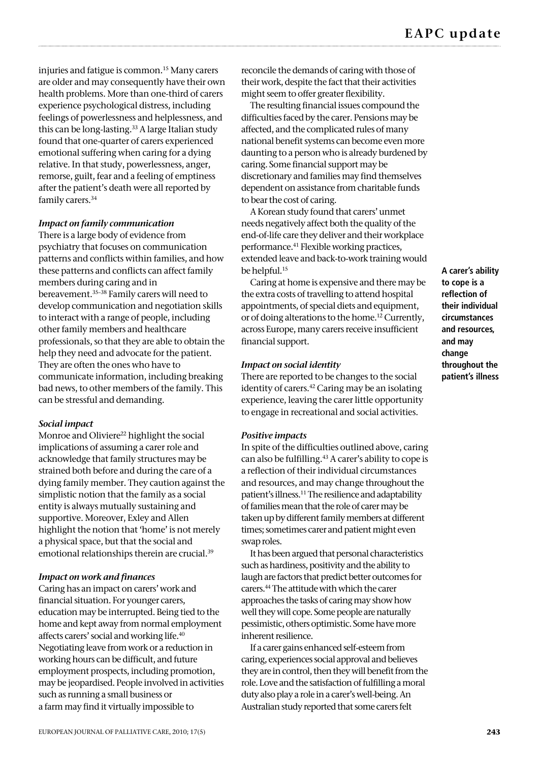injuries and fatigue is common. <sup>15</sup> Many carers are older and may consequently have their own health problems. More than one-third of carers experience psychological distress, including feelings of powerlessness and helplessness, and this can be long-lasting. <sup>33</sup> A large Italian study found that one-quarter of carers experienced emotional suffering when caring for a dying relative. In that study, powerlessness, anger, remorse, guilt, fear and a feeling of emptiness after the patient's death were all reported by family carers. 34

## *Impact on family communication*

There is a large body of evidence from psychiatry that focuses on communication patterns and conflicts within families, and how these patterns and conflicts can affect family members during caring and in bereavement. 35–38 Family carers will need to develop communication and negotiation skills to interact with a range of people, including other family members and healthcare professionals, so that they are able to obtain the help they need and advocate for the patient. They are often the ones who have to communicate information, including breaking bad news, to other members of the family. This can be stressful and demanding.

## *Social impact*

Monroe and Oliviere<sup>22</sup> highlight the social implications of assuming a carer role and acknowledge that family structures may be strained both before and during the care of a dying family member. They caution against the simplistic notion that the family as a social entity is always mutually sustaining and supportive. Moreover, Exley and Allen highlight the notion that 'home' is not merely a physical space, but that the social and emotional relationships therein are crucial.<sup>39</sup>

## *Impact on work and finances*

Caring has an impact on carers' work and financial situation. For younger carers, education may be interrupted. Being tied to the home and kept away from normal employment affects carers' social and working life. 40 Negotiating leave from work or a reduction in working hours can be difficult, and future employment prospects, including promotion, may be jeopardised. People involved in activities such as running a small business or a farm may find it virtually impossible to

reconcile the demands of caring with those of their work, despite the fact that their activities might seem to offer greater flexibility.

The resulting financial issues compound the difficulties faced by the carer. Pensions may be affected, and the complicated rules of many national benefit systems canbecome even more daunting to a person who is already burdened by caring. Some financial support may be discretionary and families may find themselves dependent on assistance from charitable funds to bearthe cost of caring.

A Korean study found that carers' unmet needs negatively affect both the quality of the end-of-life care they deliver and their workplace performance. <sup>41</sup> Flexible working practices, extended leave and back-to-work training would be helpful.<sup>15</sup>

Caring at home is expensive and there may be the extra costs of travelling to attend hospital appointments, of special diets and equipment, or of doing alterations to the home.<sup>12</sup> Currently, across Europe, many carers receive insufficient financial support.

## *Impact on social identity*

There are reported to be changes to the social identity of carers. <sup>42</sup> Caring may be an isolating experience, leaving the carer little opportunity to engage in recreational and social activities.

## *Positive impacts*

In spite of the difficulties outlined above, caring can also be fulfilling. <sup>43</sup> A carer's ability to cope is a reflection of their individual circumstances and resources, and may change throughout the patient's illness.<sup>11</sup> The resilience and adaptability of families mean that the role of carer may be taken up by different family members at different times; sometimes carer and patient might even swap roles.

It has been argued that personal characteristics such as hardiness, positivity and the ability to laugh are factors that predict better outcomes for carers.<sup>44</sup> The attitude with which the carer approaches the tasks of caring may show how well they will cope. Some people are naturally pessimistic, others optimistic. Some have more inherent resilience.

If a carer gains enhanced self-esteem from caring, experiences social approval andbelieves they are in control, then they will benefit from the role. Love and the satisfaction of fulfilling a moral duty alsoplay a role ina carer'swell-being.An Australian study reported that some carers felt

**A carer's ability to cope is a reflection of their individual circumstances and resources, and may change throughout the patient's illness**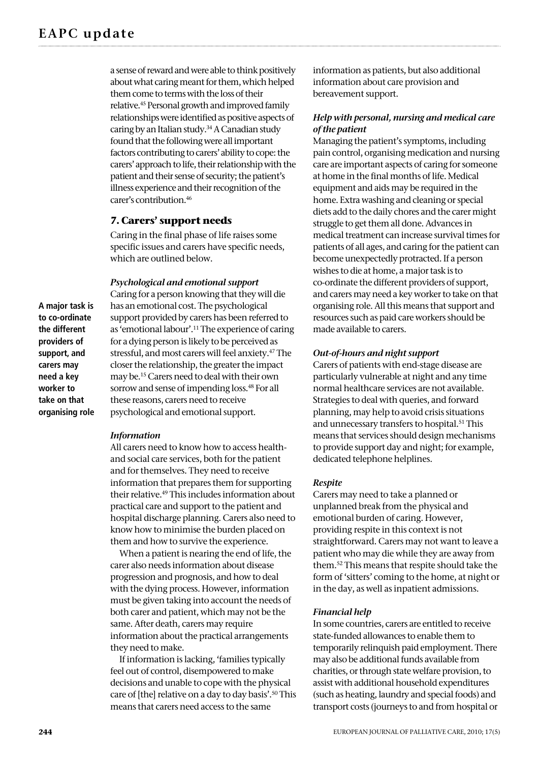a sense of reward and were able to think positively about what caring meant for them, which helped them come to terms with the loss of their relative.<sup>45</sup> Personal growth and improved family relationships were identified as positive aspects of caring by an Italian study.<sup>34</sup> A Canadian study found that the following were all important factors contributing to carers' ability to cope: the carers' approach to life, their relationship with the patient and their sense of security; the patient's illness experience and their recognition of the carer's contribution. 46

## **7. Carers' support needs**

Caring in the final phase of life raises some specific issues and carers have specific needs, which are outlined below.

#### *Psychological and emotional support*

**A major task is to co-ordinate the different providers of support, and carers may need a key worker to take on that organising role** Caring for a person knowing that they will die has anemotional cost. The psychological support provided by carers has been referred to as 'emotional labour'. <sup>11</sup> The experience of caring for a dying person is likely to be perceived as stressful, and most carers will feel anxiety.<sup>47</sup> The closer the relationship, the greater the impact may be.<sup>15</sup> Carers need to deal with their own sorrow and sense of impending loss.<sup>48</sup> For all these reasons, carers need to receive psychological and emotional support.

#### *Information*

All carers need to know how to access healthand social care services, both for the patient and for themselves. They need to receive information that prepares them for supporting their relative.<sup>49</sup> This includes information about practical care and support to the patient and hospital discharge planning. Carers also need to know how to minimise the burden placed on them and how to survive the experience.

When a patient is nearing the end of life, the carer also needs information about disease progression and prognosis, and how to deal with the dying process. However, information must be given taking into account the needs of both carer and patient, which may not be the same. After death, carers may require information about the practical arrangements they need to make.

If information is lacking, 'families typically feel out of control, disempowered to make decisions and unable to cope with the physical care of [the] relative on a day to day basis'.<sup>50</sup> This means that carers need access to the same

information as patients, but also additional information about care provision and bereavement support.

#### *Help with personal, nursing and medical care ofthe patient*

Managing the patient's symptoms, including pain control, organising medication and nursing care are important aspects of caring for someone at home in the final months of life. Medical equipment and aids may be required in the home. Extra washing and cleaning or special diets add to the daily chores and the carer might struggle to get them all done. Advances in medical treatment can increase survival times for patients of all ages, and caring for the patient can become unexpectedly protracted.If a person wishes to die at home, a major task is to co-ordinate the different providers of support, and carers may need a key worker to take on that organising role. All this means that support and resources such as paid care workers should be made available to carers.

#### *Out-of-hours and night support*

Carers of patients with end-stage disease are particularly vulnerable at night and any time normal healthcare services are not available. Strategies to deal with queries, and forward planning, may help to avoid crisis situations and unnecessary transfers to hospital. <sup>51</sup> This means that services should design mechanisms to provide support day and night; for example, dedicated telephone helplines.

#### *Respite*

Carers may need to take a planned or unplanned break from the physical and emotional burden of caring. However, providing respite in this context is not straightforward. Carers may not want to leave a patient who may die while they are away from them.<sup>52</sup> This means that respite should take the form of 'sitters' coming to the home, at night or in the day, as well as inpatient admissions.

#### *Financial help*

Insome countries, carers are entitled to receive state-funded allowances to enable them to temporarily relinquish paid employment. There may also be additional funds available from charities, or through state welfare provision, to assist with additional household expenditures (such as heating, laundry and special foods) and transport costs (journeys to and from hospital or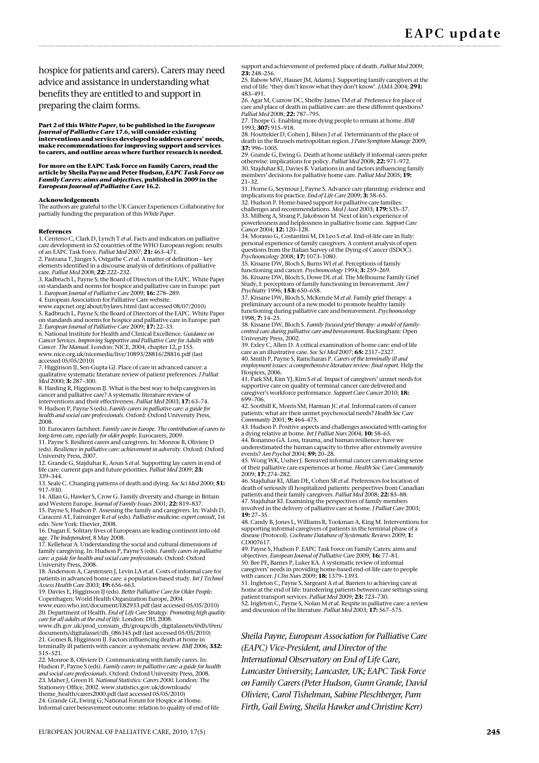hospice for patients and carers). Carers mayneed advice and assistance in understanding what benefits they are entitled to and supportin preparing the claim forms.

Part 2 of this W*hite Paper*, to be published in the *European*<br>Jo*urnal of Palliative Care* 17.6, will consider existing **interventions and services developed to address carers' needs, make recommendations for improving support and services to carers, and outline areas where further research is needed.**

**For more on the EAPC Task Force on Family Carers, read the article by Sheila Payne and Peter Hudson,** *EAPC Task Force on Family Carers: aims and objectives***, published in 2009 in the** *European Journal of Palliative Care* **16.2.**

#### **Acknowledgements**

The authors are grateful to the UK Cancer Experiences Collaborative for partially funding the preparation of this *White Paper*.

#### **References**

1. Centeno C, Clark D, Lynch T *et al*. Facts and indicators on palliative care development in 52 countries of the WHO European region: results<br>of an EAPC Task Force. *Palliat Med* 2007; **21:** 463–471. 2. Pastrana T, Jünger S, Ostgathe C *et al*. A matter of definition – key

elements identified in a discourse analysis of definitions of palliative care. *Palliat Med* 2008; **22:** 222–232. 3. Radbruch L, Payne S; the Board of Directors of the EAPC. White Paper

on standards and norms for hospice and palliative care in Europe: part 1. *European Journal of Palliative Care* 2009; **16:** 278–289. 4. European Association for Palliative Care website.

www.eapcnet.org/about/bylaws.html (last accessed 08/07/2010) 5. Radbruch L, Payne S; the Board of Directors of the EAPC. White Paper on standards and norms for hospice and palliative care in Europe: part 2. *European Journal of Palliative Care* 2009; **17:** 22–33. 6. National Institute for Health and Clinical Excellence. *Guidance on*

*Cancer Services. Improving Supportive and Palliative Care for Adults with Cancer. The Manual.* London: NICE, 2004, chapter 12, p 155. www.nice.org.uk/nicemedia/live/10893/28816/28816.pdf (last accessed 05/05/2010)

7. Higginson IJ, Sen-Gupta GJ. Place of care in advanced cancer: a qualitative systematic literature review of patient preferences. *J Palliat Med* 2000; **3:** 287–300.

8. Harding R, Higginson IJ. What is the best way to help caregivers in cancer and palliative care? A systematic literature review of interventions and their effectiveness. *Palliat Med* 2003; **17:** 63–74. 9. Hudson P, Payne S (eds). *Family carers in palliative care: a guide for*<br>*health and social care professionals.* Oxford: Oxford University Press,

2008.<br>10. Eurocarers factsheet. *Family care in Europe. The contribution of carers to<br>long-term care, especially for older people. Eurocarers, 2009.<br>11. Payne S. Resilient carers and caregivers. In: Monroe B, Oliviere D* 

(eds). *Resilience in palliative care: achievement in adversity.* Oxford: Oxford University Press, 2007.

12. Grande G, Stajduhar K, Aoun S *et al*. Supporting lay carers in end of life care: current gaps and future priorities. *Palliat Med* 2009; **23:** 339–344.

13. Seale C. Changing patterns of death and dying. *Soc Sci Med* 2000; **51:** 917–930.

14. Allan G, Hawker S, Crow G. Family diversity and change in Britain and Western Europe. *Journal of Family Issues* 2001; **22:** 819–837.

15. Payne S, Hudson P. Assessing the family and caregivers. In: Walsh D, Caraceni AT, Fainsinger R *et al* (eds). *Palliative medicine: expert consult*, 1st edn. New York: Elsevier, 2008.

16. Dugan E. Solitary lives of Europeans are leading continent into old age. *The Independent*, 8 May 2008. 17. Kellehear A. Understanding the social and cultural dimensions of

family caregiving. In: Hudson P, Payne S (eds). *Family carers in palliative care: a guide for health and social care professionals.* Oxford: Oxford University Press, 2008.

18. Andersson A, Carstensen J, Levin LA *et al.* Costs of informal care for patients in advanced home care: a population-based study. *Int J Technol Assess Health Care* 2003; **19:** 656–663.

19. Davies E, Higginson IJ (eds). *Better Palliative Care for Older People.*<br>Copenhagen: World Health Organization Europe, 2004.<br>www.euro.who.int/document/E82933.pdf (last accessed 05/05/2010) 20. Department of Health. *End of Life Care Strategy. Promoting high quality<br>care for all adults at the end of life. London: DH, 2008.* 

www.dh.gov.uk/prod\_consum\_dh/groups/dh\_digitalassets/@dh/@en/ documents/digitalasset/dh\_086345.pdf (last accessed 05/05/2010) 21. Gomes B, Higginson IJ. Factors influencing death at home in terminally ill patients with cancer: a systematic review. *BMJ* 2006; **332:**

515–521. 22. Monroe B, Oliviere D. Communicating with family carers. In: Hudson P, Payne S (eds). *Family carers in palliative care: a guide for health and social care professionals.* Oxford: Oxford University Press, 2008. 23. Maher J, Green H. *National Statistics: Carers 2000*. London: The Stationery Office, 2002. www.statistics.gov.uk/downloads/ theme\_health/carers2000.pdf (last accessed 05/05/2010) 24. Grande GE, Ewing G; National Forum for Hospice at Home. Informal carer bereavement outcome: relation to quality of end of life

support and achievement of preferred place of death. *Palliat Med* 2009; **23:** 248–256.

25. Rabow MW, HauserJM, Adams J. Supporting family caregivers at the end of life: 'they don't know what they don't know'. *JAMA* 2004; **291:** 483–491.

26. Agar M, Currow DC, Shelby-James TM *et al*. Preference for place of care and place of death in palliative care: are these different questions? *Palliat Med* 2008; **22:** 787–795.

27. Thorpe G. Enabling more dying people to remain at home. *BMJ* 1993; **307:** 915–918.

28. Houttekier D, Cohen J, Bilsen J *et al.* Determinants of the place of death in the Brussels metropolitan region. *J Pain Symptom Manage* 2009; **37:** 996–1005.

29. Grande G, Ewing G. Death at home unlikely if informal carers prefer otherwise: implications for policy. *Palliat Med* 2008; **22:** 971–972. 30. Stajduhar KI, Davies B. Variations in and factors influencing family members' decisions for palliative home care. *Palliat Med* 2005; **19:** 21–32.

31. Horne G, Sevmour J, Payne S. Advance care planning: evidence and implications for practice. *End of Life Care* 2009; **3:** 58–65.

32. Hudson P. Home-based support for palliative care families: challenges and recommendations. *Med J Aust* 2003; **179:** S35–37. 33. Milberg A, Strang P, Jakobsson M. Next of kin's experience of powerlessness and helplessness in palliative home care. *Support Care*

*Cancer* 2004; **12:** 120–128. 34. Morasso G, Costantini M, Di Leo S *et al*. End-of-life care in Italy: personal experience of family caregivers. A content analysis of open questions from the Italian Survey of the Dying of Cancer(ISDOC). *Psychooncology* 2008; **17:** 1073–1080.

35. Kissane DW, Bloch S, Burns WI *et al.* Perceptions of family<br>functioning and cancer. *Psychooncology* 1994; **3:** 259–269.<br>36. Kissane DW, Bloch S, Dowe DL *et al*. The Melbourne Family Grief Study, I: perceptions of family functioning in bereavement. *Am J Psychiatry* 1996; **153:** 650–658.

37. Kissane DW, Bloch S, McKenzie M *et al.* Family grief therapy: a preliminary account of a new model to promote healthy family functioning during palliative care and bereavement. *Psychooncology* 1998; **7:** 14–25.

38. Kissane DW, Bloch S. *Family focused grief therapy: a model of familycentred care during palliative care and bereavement.* Buckingham: Open University Press, 2002.

39. Exley C, Allen D. A critical examination of home care: end of life care as an illustrative case. *Soc Sci Med* 2007; **65:** 2317–2327. 40. Smith P, Payne S, Ramcharan P. *Carers of the terminally ill and employment issues: a comprehensive literature review: final report.* Help the Hospices, 2006.

41. Park SM, Kim YJ, Kim S *et al.* Impact of caregivers' unmet needs for supportive care on quality of terminal cancer care delivered and caregiver's workforce performance. *Support Care Cancer* 2010; **18:** 699–706.

42. Soothill K, Morris SM, Harman JC *et al*. Informal carers of cancer patients: what are their unmet psychosocial needs? *Health Soc Care Community* 2001; **9:** 464–475.

43. Hudson P. Positive aspects and challenges associated with caring for a dying relative at home. *Int J Palliat Nurs* 2004; **10:** 58–65.

44. Bonanno GA. Loss, trauma, and human resilience: have we underestimated the human capacity to thrive after extremely aversive

events? *Am Psychol* 2004; **59:** 20–28. 45. Wong WK, UssherJ. Bereaved informal cancer carers making sense of their palliative care experiences at home. *Health Soc Care Community* 2009; **17:** 274–282.

46. Stajduhar KI, Allan DE, Cohen SR *et al*. Preferences forlocation of death of seriously ill hospitalized patients: perspectives from Canadian<br>patients and their family caregivers. *Palliat Med 2*008; **22:** 85–88.<br>47. Stajduhar KI. Examining the perspectives of family members<br>involved in the **19:** 27–35.

48. Candy B, Jones L, Williams R, Tookman A, King M. Interventions for supporting informal caregivers of patients in the terminal phase of a disease (Protocol). *Cochrane Database of Systematic Reviews* 2009; **1:** CD007617.

49. Payne S, Hudson P. EAPC Task Force on Family Carers: aims and objectives. *European Journal of Palliative Care* 2009; **16:** 77–81. 50. Bee PE, Barnes P, Luker KA. A systematic review of informal caregivers' needs in providing home-based end-of-life care to people

with cancer. *J Clin Nurs* 2009; **18:** 1379–1393. 51. Ingleton C, Payne S, Sargeant A *et al*. Barriers to achieving care at home at the end of life: transferring patients between care settings using

patient transport services. *Palliat Med* 2009; **23:** 723–730. 52. Ingleton C, Payne S, Nolan M *et al*. Respite in palliative care: a review and discussion of the literature. *Palliat Med* 2003; **17:** 567–575.

*Sheila Payne, European Association for Palliative Care (EAPC) Vice-President, and Director of the International Observatory on End of Life Care, Lancaster University, Lancaster, UK; EAPC Task Force on Family Carers (Peter Hudson, Gunn Grande, David Oliviere, Carol Tishelman, Sabine Pleschberger, Pam Firth, Gail Ewing, Sheila Hawker and Christine Kerr)*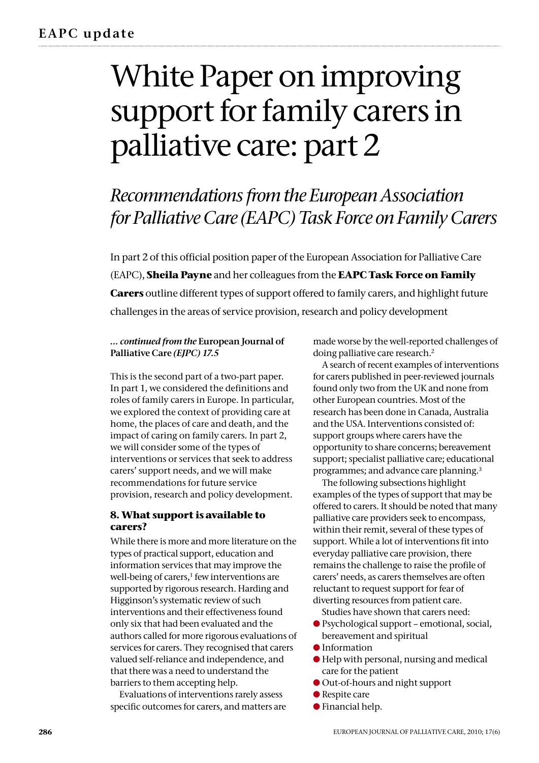# White Paper on improving support for family carers in palliative care: part 2

## *Recommendations from the EuropeanAssociation for Palliative Care (EAPC)Task Force on Family Carers*

In part 2 of this official position paper of the European Association for Palliative Care (EAPC), **Sheila Payne** and her colleagues from the **EAPC Task Force on Family Carers** outline different types of support offered to family carers, and highlight future challenges in the areas of service provision, research and policy development

### *… continued from the* European Journal of Palliative Care *(EJPC) 17.5*

This is the second part of a two-part paper. In part 1, we considered the definitions and roles of family carers in Europe. In particular, we explored the context of providing care at home, the places of care and death, and the impact of caring on family carers. In part 2, we will consider some of the types of interventions or services that seek to address carers' support needs, and we will make recommendations for future service provision, research and policy development.

## **8.What support is available to carers?**

While there is more and more literature on the types of practical support, education and information services that may improve the well-being of carers, <sup>1</sup> few interventions are supported by rigorous research. Harding and Higginson's systematic review of such interventions and their effectiveness found only six that had been evaluated and the authors called for more rigorous evaluations of services for carers. They recognised that carers valued self-reliance and independence, and that there was a need to understand the barriers to them accepting help.

Evaluations of interventions rarely assess specific outcomes for carers, and matters are made worse by the well-reported challenges of doing palliative care research. 2

A search of recent examples of interventions for carers published in peer-reviewed journals found only two from the UK and none from other European countries. Most of the research has been done in Canada, Australia and the USA. Interventions consisted of: support groups where carers have the opportunity to share concerns; bereavement support; specialist palliative care; educational programmes; and advance care planning. 3

The following subsections highlight examples of the types of support that may be offered to carers. It should be noted that many palliative care providers seek to encompass, within their remit, several of these types of support. While a lot of interventions fit into everyday palliative care provision, there remains the challenge to raise the profile of carers' needs, as carers themselves are often reluctant to request support for fear of diverting resources from patient care.

Studies have shown that carers need:

- **●** Psychological support emotional, social, bereavement and spiritual
- **●** Information
- **●** Help with personal, nursing and medical care for the patient
- **●** Out-of-hours and night support
- **●** Respite care
- **●** Financial help.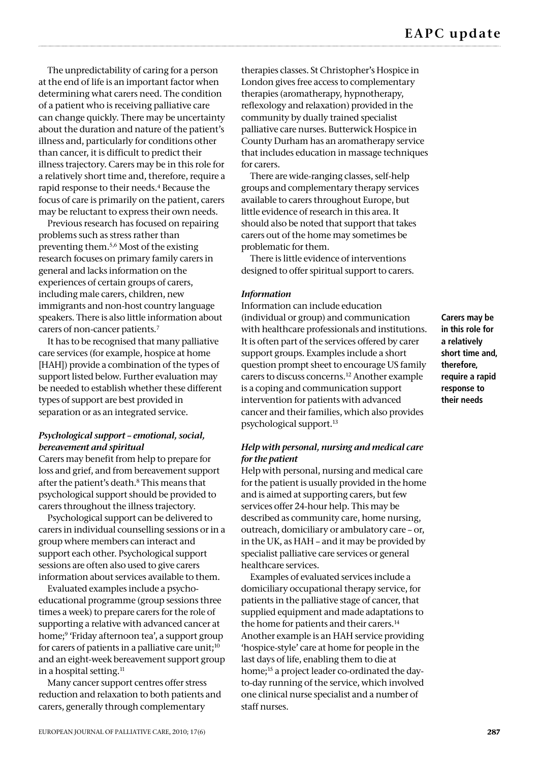The unpredictability of caring for a person at the end of life is an important factor when determining what carers need. The condition of a patient who is receiving palliative care can change quickly. There may be uncertainty about the duration and nature of the patient's illness and, particularly for conditions other than cancer, it is difficult to predict their illness trajectory. Carers may be in this role for a relatively short time and, therefore, require a rapid response to their needs. <sup>4</sup> Because the focus of care is primarily on the patient, carers may be reluctant to express their own needs.

Previous research has focused on repairing problems such as stress rather than preventing them. 5,6 Most of the existing research focuses on primary family carers in general and lacks information on the experiences of certain groups of carers, including male carers, children, new immigrants and non-host country language speakers. There is also little information about carers of non-cancer patients. 7

It has to be recognised that many palliative care services (for example, hospice at home [HAH]) provide a combination of the types of support listed below. Further evaluation may be needed to establish whether these different types of support are best provided in separation or as an integrated service.

## *Psychological support – emotional, social, bereavement and spiritual*

Carers may benefit from help to prepare for loss and grief, and from bereavement support after the patient's death.<sup>8</sup> This means that psychological support should be provided to carers throughout the illness trajectory.

Psychological support can be delivered to carers in individual counselling sessions or in a group where members can interact and support each other. Psychological support sessions are often also used to give carers information about services available to them.

Evaluated examples include a psychoeducational programme (group sessions three times a week) to prepare carers for the role of supporting a relative with advanced cancer at home; <sup>9</sup> 'Friday afternoon tea', a support group for carers of patients in a palliative care unit;  $^{10}$ and an eight-week bereavement support group in a hospital setting. $^{\rm 11}$ 

Many cancer support centres offer stress reduction and relaxation to both patients and carers, generally through complementary

therapies classes. St Christopher's Hospice in London gives free access to complementary therapies (aromatherapy, hypnotherapy, reflexology and relaxation) provided in the community by dually trained specialist palliative care nurses. Butterwick Hospice in County Durham has an aromatherapy service that includes education in massage techniques for carers.

There are wide-ranging classes, self-help groups and complementary therapy services available to carers throughout Europe, but little evidence of research in this area. It should also be noted that support that takes carers out of the home may sometimes be problematic for them.

There is little evidence of interventions designed to offer spiritual support to carers.

#### *Information*

Information can include education (individual or group) and communication with healthcare professionals and institutions. It is often part of the services offered by carer support groups. Examples include a short question prompt sheet to encourage US family carers to discuss concerns. <sup>12</sup> Another example is a coping and communication support intervention for patients with advanced cancer and their families, which also provides psychological support. 13

**Carers may be in this role for a relatively short time and, therefore, require a rapid response to their needs**

### *Help with personal, nursing and medical care for the patient*

Help with personal, nursing and medical care for the patient is usually provided in the home and is aimed at supporting carers, but few services offer 24-hour help. This may be described as community care, home nursing, outreach, domiciliary or ambulatory care – or, in the UK, as HAH – and it may be provided by specialist palliative care services or general healthcare services.

Examples of evaluated services include a domiciliary occupational therapy service, for patients in the palliative stage of cancer, that supplied equipment and made adaptations to the home for patients and their carers. 14 Another example is an HAH service providing 'hospice-style' care at home for people in the last days of life, enabling them to die at home; <sup>15</sup> a project leader co-ordinated the dayto-day running of the service, which involved one clinical nurse specialist and a number of staff nurses.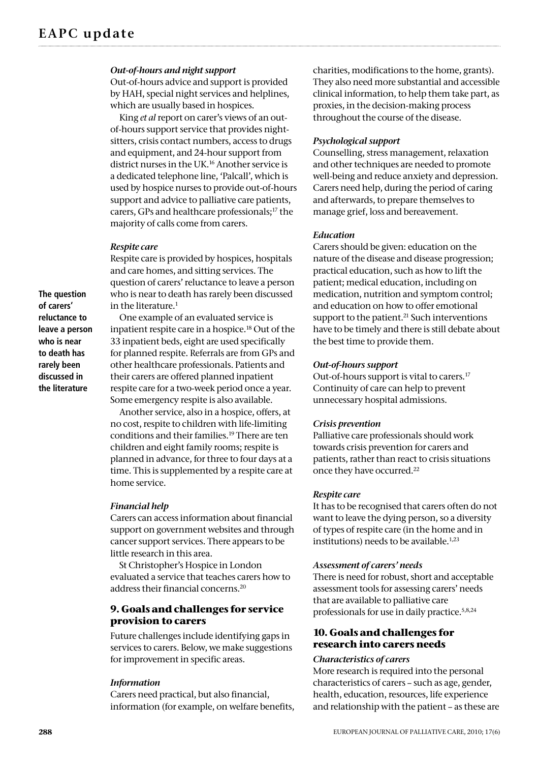#### *Out-of-hours and night support*

Out-of-hours advice and support is provided by HAH, special night services and helplines, which are usually based in hospices.

King *et al*report on carer's views of an outof-hours support service that provides nightsitters, crisis contact numbers, access to drugs and equipment, and 24-hour support from district nurses in the UK. <sup>16</sup> Another service is a dedicated telephone line, 'Palcall', which is used by hospice nurses to provide out-of-hours support and advice to palliative care patients, carers, GPs and healthcare professionals; <sup>17</sup> the majority of calls come from carers.

#### *Respite care*

Respite care is provided by hospices, hospitals and care homes, and sitting services. The question of carers'reluctance to leave a person who is nearto death has rarely been discussed in the literature. 1

One example of an evaluated service is inpatient respite care in a hospice.<sup>18</sup> Out of the 33 inpatient beds, eight are used specifically for planned respite. Referrals are from GPs and other healthcare professionals. Patients and their carers are offered planned inpatient respite care for a two-week period once a year. Some emergency respite is also available.

Another service, also in a hospice, offers, at no cost, respite to children with life-limiting conditions and their families.<sup>19</sup> There are ten children and eight family rooms; respite is planned in advance, forthree to four days at a time. This is supplemented by a respite care at home service.

#### *Financial help*

Carers can access information about financial support on government websites and through cancer support services. There appears to be little research in this area.

St Christopher's Hospice in London evaluated a service that teaches carers how to address their financial concerns.<sup>20</sup>

## **9. Goals and challenges for service provision to carers**

Future challenges include identifying gaps in services to carers. Below, we make suggestions for improvement in specific areas.

#### *Information*

Carers need practical, but also financial, information (for example, on welfare benefits, charities, modifications to the home, grants). They also need more substantial and accessible clinical information, to help them take part, as proxies, in the decision-making process throughout the course of the disease.

#### *Psychological support*

Counselling, stress management, relaxation and other techniques are needed to promote well-being and reduce anxiety and depression. Carers need help, during the period of caring and afterwards, to prepare themselves to manage grief, loss and bereavement.

#### *Education*

Carers should be given: education on the nature of the disease and disease progression; practical education, such as how to lift the patient; medical education, including on medication, nutrition and symptom control; and education on how to offer emotional support to the patient. <sup>21</sup> Such interventions have to be timely and there is still debate about the best time to provide them.

#### *Out-of-hours support*

Out-of-hours support is vital to carers. 17 Continuity of care can help to prevent unnecessary hospital admissions.

#### *Crisis prevention*

Palliative care professionals should work towards crisis prevention for carers and patients, rather than react to crisis situations once they have occurred. 22

#### *Respite care*

It has to be recognised that carers often do not want to leave the dying person, so a diversity of types of respite care (in the home and in institutions) needs to be available. 1,23

#### *Assessment of carers' needs*

There is need for robust, short and acceptable assessment tools for assessing carers' needs that are available to palliative care professionals for use in daily practice. 5,8,24

## **10. Goals and challenges for research into carers needs**

#### *Characteristics of carers*

More research is required into the personal characteristics of carers – such as age, gender, health, education, resources, life experience and relationship with the patient – as these are

**The question of carers' reluctance to leave a person who is near to death has rarely been discussed in the literature**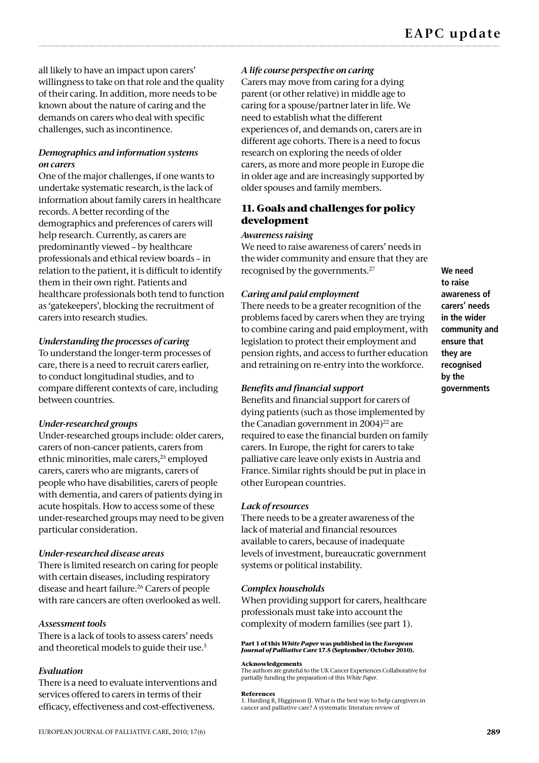all likely to have an impact upon carers' willingness to take on that role and the quality of their caring. In addition, more needs to be known about the nature of caring and the demands on carers who deal with specific challenges, such as incontinence.

## *Demographics and information systems on carers*

One of the major challenges, if one wants to undertake systematic research, is the lack of information about family carers in healthcare records. A better recording of the demographics and preferences of carers will help research. Currently, as carers are predominantly viewed – by healthcare professionals and ethical review boards – in relation to the patient, it is difficult to identify them in their own right. Patients and healthcare professionals both tend to function as 'gatekeepers', blocking the recruitment of carers into research studies.

## *Understanding the processes of caring*

To understand the longer-term processes of care, there is a need to recruit carers earlier, to conduct longitudinal studies, and to compare different contexts of care, including between countries.

## *Under-researched groups*

Under-researched groups include: older carers, carers of non-cancer patients, carers from ethnic minorities, male carers, <sup>25</sup> employed carers, carers who are migrants, carers of people who have disabilities, carers of people with dementia, and carers of patients dying in acute hospitals. How to access some of these under-researched groups may need to be given particular consideration.

## *Under-researched disease areas*

There is limited research on caring for people with certain diseases, including respiratory disease and heart failure. <sup>26</sup> Carers of people with rare cancers are often overlooked as well.

## Assessment tools

There is a lack of tools to assess carers' needs and theoretical models to guide their use. 5

## *Evaluation*

There is a need to evaluate interventions and services offered to carers in terms of their efficacy, effectiveness and cost-effectiveness.

## *A life course perspective on caring*

Carers may move from caring for a dying parent (or other relative) in middle age to caring for a spouse/partner later in life. We need to establish what the different experiences of, and demands on, carers are in different age cohorts. There is a need to focus research on exploring the needs of older carers, as more and more people in Europe die in older age and are increasingly supported by older spouses and family members.

## **11. Goals and challenges for policy development**

## *Awareness raising*

We need to raise awareness of carers' needs in the wider community and ensure that they are recognised by the governments. 27

## *Caring and paid employment*

There needs to be a greater recognition of the problems faced by carers when they are trying to combine caring and paid employment, with legislation to protect their employment and pension rights, and access to further education and retraining on re-entry into the workforce.

## *Benefits and financial support*

Benefits and financial support for carers of dying patients (such as those implemented by the Canadian government in  $2004)^{22}$  are required to ease the financial burden on family carers. In Europe, the right for carers to take palliative care leave only exists in Austria and France. Similar rights should be put in place in other European countries.

## *Lack of resources*

There needs to be a greater awareness of the lack of material and financial resources available to carers, because of inadequate levels of investment, bureaucratic government systems or political instability.

## *Complex households*

When providing support for carers, healthcare professionals must take into account the complexity of modern families (see part 1).

## Part 1 of this White Paper was published in the European<br>Journal of Palliative Care 17.5 (September/October 2010).

## **Acknowledgements**

The authors are grateful to the UK Cancer Experiences Collaborative for partially funding the preparation of this *White Paper*.

#### **References**

1. Harding R, Higginson IJ. What is the best way to help caregivers in cancer and palliative care? A systematic literature review of

**We need to raise awareness of carers' needs in the wider community and ensure that they are recognised by the governments**